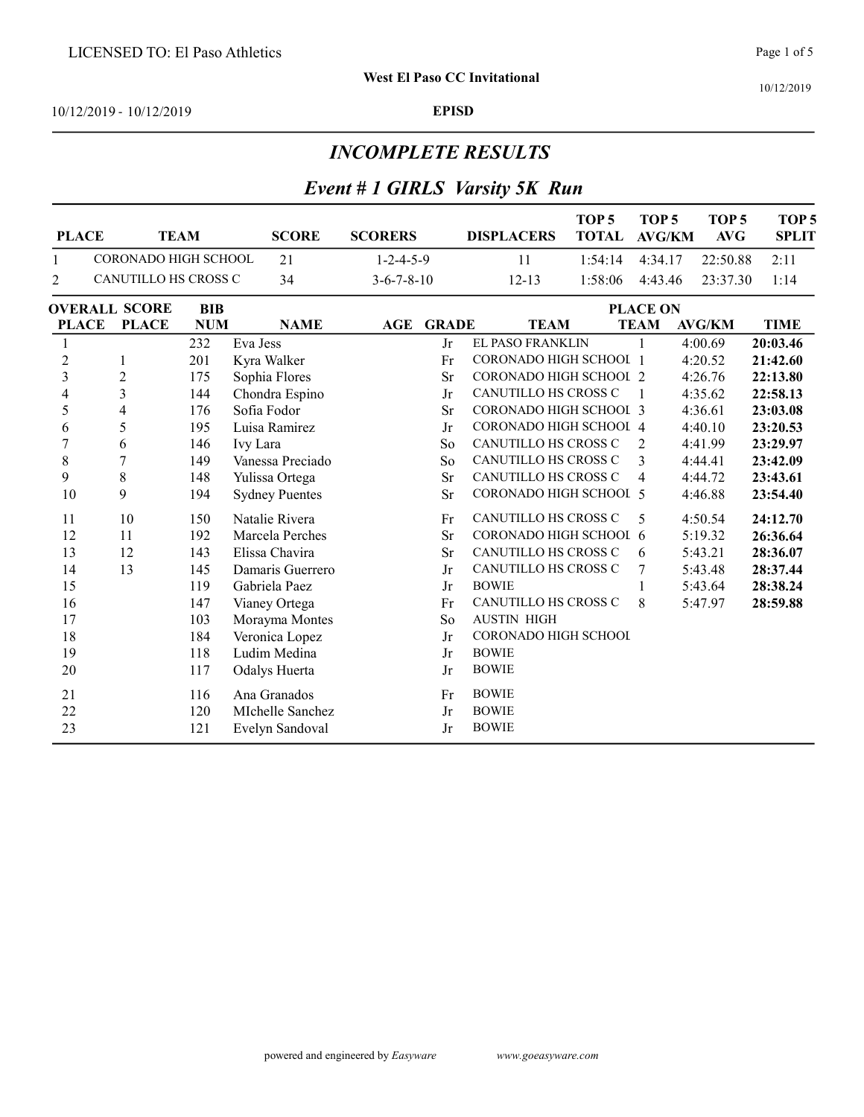10/12/2019

10/12/2019 - 10/12/2019 EPISD

#### INCOMPLETE RESULTS

# Event # 1 GIRLS Varsity 5K Run

| <b>PLACE</b>   | <b>TEAM</b>          |            | <b>SCORE</b>          | <b>SCORERS</b>       |              | <b>DISPLACERS</b>           | TOP <sub>5</sub><br><b>TOTAL</b> | TOP <sub>5</sub><br><b>AVG/KM</b> | TOP <sub>5</sub><br><b>AVG</b> | TOP <sub>5</sub><br><b>SPLIT</b> |
|----------------|----------------------|------------|-----------------------|----------------------|--------------|-----------------------------|----------------------------------|-----------------------------------|--------------------------------|----------------------------------|
| 1              | CORONADO HIGH SCHOOL |            | 21                    | $1 - 2 - 4 - 5 - 9$  |              | 11                          | 1:54:14                          | 4:34.17                           | 22:50.88                       | 2:11                             |
| 2              | CANUTILLO HS CROSS C |            | 34                    | $3 - 6 - 7 - 8 - 10$ |              | $12 - 13$                   | 1:58:06                          | 4:43.46                           | 23:37.30                       | 1:14                             |
|                | <b>OVERALL SCORE</b> | BIB        |                       |                      |              |                             |                                  | <b>PLACE ON</b>                   |                                |                                  |
| <b>PLACE</b>   | <b>PLACE</b>         | <b>NUM</b> | <b>NAME</b>           | AGE                  | <b>GRADE</b> | <b>TEAM</b>                 |                                  | <b>TEAM</b>                       | <b>AVG/KM</b>                  | <b>TIME</b>                      |
| $\mathbf{1}$   |                      | 232        | Eva Jess              |                      | Jr           | EL PASO FRANKLIN            |                                  | 1                                 | 4:00.69                        | 20:03.46                         |
| $\sqrt{2}$     | 1                    | 201        | Kyra Walker           |                      | Fr           | CORONADO HIGH SCHOOL 1      |                                  |                                   | 4:20.52                        | 21:42.60                         |
| 3              | $\overline{c}$       | 175        | Sophia Flores         |                      | <b>Sr</b>    | CORONADO HIGH SCHOOL 2      |                                  |                                   | 4:26.76                        | 22:13.80                         |
| 4              | 3                    | 144        | Chondra Espino        |                      | Jr           | <b>CANUTILLO HS CROSS C</b> |                                  | -1                                | 4:35.62                        | 22:58.13                         |
| 5              | $\overline{4}$       | 176        | Sofia Fodor           |                      | Sr           | CORONADO HIGH SCHOOL 3      |                                  |                                   | 4:36.61                        | 23:03.08                         |
| 6              | 5                    | 195        | Luisa Ramirez         |                      | Jr           | CORONADO HIGH SCHOOL 4      |                                  |                                   | 4:40.10                        | 23:20.53                         |
| $\overline{7}$ | 6                    | 146        | Ivy Lara              |                      | So           | <b>CANUTILLO HS CROSS C</b> |                                  | $\overline{2}$                    | 4:41.99                        | 23:29.97                         |
| 8              | 7                    | 149        | Vanessa Preciado      |                      | So           | CANUTILLO HS CROSS C        |                                  | 3                                 | 4:44.41                        | 23:42.09                         |
| 9              | 8                    | 148        | Yulissa Ortega        |                      | Sr           | CANUTILLO HS CROSS C        |                                  | 4                                 | 4:44.72                        | 23:43.61                         |
| 10             | 9                    | 194        | <b>Sydney Puentes</b> |                      | Sr           | CORONADO HIGH SCHOOL 5      |                                  |                                   | 4:46.88                        | 23:54.40                         |
| 11             | 10                   | 150        | Natalie Rivera        |                      | Fr           | CANUTILLO HS CROSS C        |                                  | 5                                 | 4:50.54                        | 24:12.70                         |
| 12             | 11                   | 192        | Marcela Perches       |                      | <b>Sr</b>    | CORONADO HIGH SCHOOL 6      |                                  |                                   | 5:19.32                        | 26:36.64                         |
| 13             | 12                   | 143        | Elissa Chavira        |                      | Sr           | CANUTILLO HS CROSS C        |                                  | 6                                 | 5:43.21                        | 28:36.07                         |
| 14             | 13                   | 145        | Damaris Guerrero      |                      | Jr           | CANUTILLO HS CROSS C        |                                  | 7                                 | 5:43.48                        | 28:37.44                         |
| 15             |                      | 119        | Gabriela Paez         |                      | Jr           | <b>BOWIE</b>                |                                  | 1                                 | 5:43.64                        | 28:38.24                         |
| 16             |                      | 147        | Vianey Ortega         |                      | Fr           | CANUTILLO HS CROSS C        |                                  | 8                                 | 5:47.97                        | 28:59.88                         |
| 17             |                      | 103        | Morayma Montes        |                      | So           | <b>AUSTIN HIGH</b>          |                                  |                                   |                                |                                  |
| 18             |                      | 184        | Veronica Lopez        |                      | Jr           | CORONADO HIGH SCHOOL        |                                  |                                   |                                |                                  |
| 19             |                      | 118        | Ludim Medina          |                      | Jr           | <b>BOWIE</b>                |                                  |                                   |                                |                                  |
| 20             |                      | 117        | <b>Odalys Huerta</b>  |                      | Jr           | <b>BOWIE</b>                |                                  |                                   |                                |                                  |
| 21             |                      | 116        | Ana Granados          |                      | Fr           | <b>BOWIE</b>                |                                  |                                   |                                |                                  |
| 22             |                      | 120        | MIchelle Sanchez      |                      | ${\rm Jr}$   | <b>BOWIE</b>                |                                  |                                   |                                |                                  |
| 23             |                      | 121        | Evelyn Sandoval       |                      | Jr           | <b>BOWIE</b>                |                                  |                                   |                                |                                  |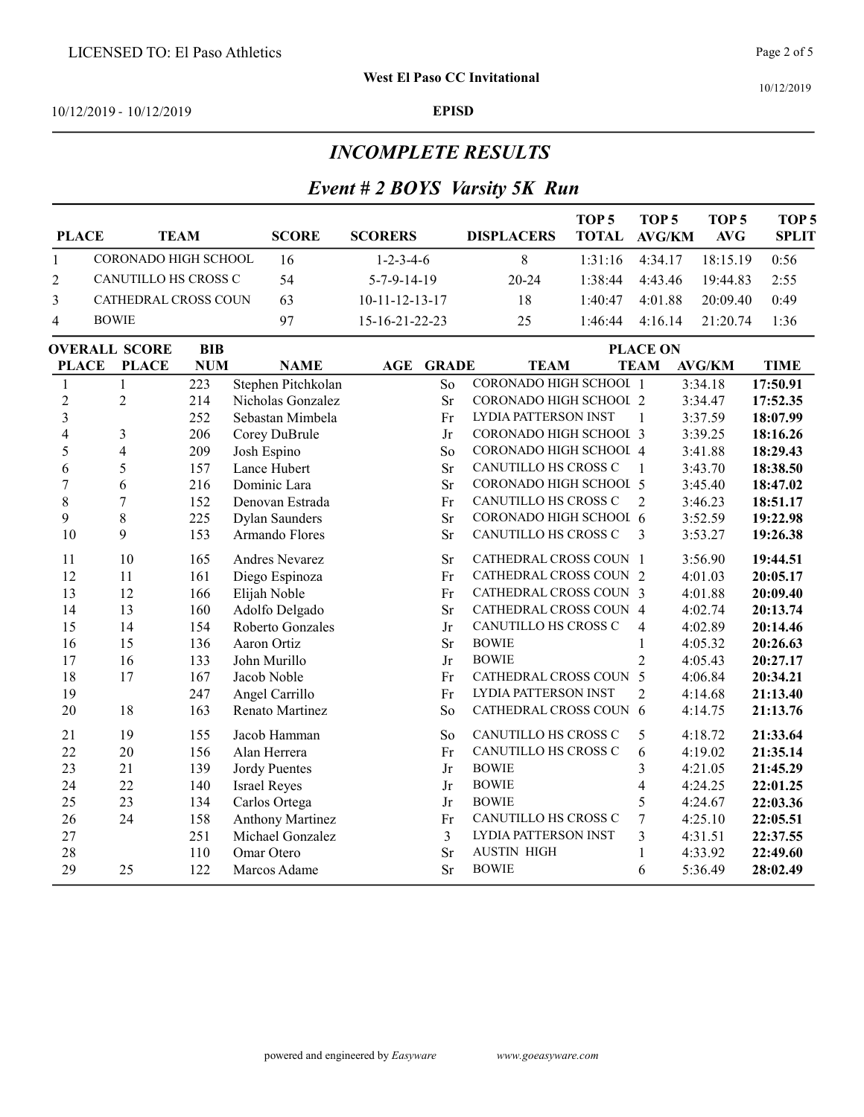10/12/2019

#### 10/12/2019 - 10/12/2019 EPISD

#### INCOMPLETE RESULTS

#### Event # 2 BOYS Varsity 5K Run

| <b>PLACE</b>                       |                         | <b>TEAM</b> | <b>SCORE</b>            | <b>SCORERS</b>           |              | <b>DISPLACERS</b>           | TOP <sub>5</sub><br><b>TOTAL</b> | TOP <sub>5</sub><br><b>AVG/KM</b> | TOP <sub>5</sub><br><b>AVG</b> | TOP <sub>5</sub><br><b>SPLIT</b> |
|------------------------------------|-------------------------|-------------|-------------------------|--------------------------|--------------|-----------------------------|----------------------------------|-----------------------------------|--------------------------------|----------------------------------|
| $\mathbf{1}$                       | CORONADO HIGH SCHOOL    |             | 16                      | $1 - 2 - 3 - 4 - 6$      |              | 8                           | 1:31:16                          | 4:34.17                           | 18:15.19                       | 0:56                             |
| $\overline{2}$                     | CANUTILLO HS CROSS C    |             | 54                      | $5 - 7 - 9 - 14 - 19$    |              | 20-24                       | 1:38:44                          | 4:43.46                           | 19:44.83                       | 2:55                             |
| 3                                  | CATHEDRAL CROSS COUN    |             | 63                      | $10 - 11 - 12 - 13 - 17$ |              | 18                          | 1:40:47                          | 4:01.88                           | 20:09.40                       | 0:49                             |
| 4                                  | <b>BOWIE</b>            |             | 97                      | 15-16-21-22-23           |              | 25                          | 1:46:44                          | 4:16.14                           | 21:20.74                       | 1:36                             |
| <b>OVERALL SCORE</b><br><b>BIB</b> |                         |             |                         |                          |              |                             |                                  | <b>PLACE ON</b>                   |                                |                                  |
| <b>PLACE</b>                       | <b>PLACE</b>            | <b>NUM</b>  | <b>NAME</b>             | AGE                      | <b>GRADE</b> | <b>TEAM</b>                 |                                  | <b>TEAM</b>                       | <b>AVG/KM</b>                  | <b>TIME</b>                      |
| 1                                  | 1                       | 223         | Stephen Pitchkolan      |                          | So           | CORONADO HIGH SCHOOL 1      |                                  |                                   | 3:34.18                        | 17:50.91                         |
| $\overline{c}$                     | $\overline{c}$          | 214         | Nicholas Gonzalez       |                          | <b>Sr</b>    | CORONADO HIGH SCHOOL 2      |                                  |                                   | 3:34.47                        | 17:52.35                         |
| $\overline{\mathbf{3}}$            |                         | 252         | Sebastan Mimbela        |                          | Fr           | LYDIA PATTERSON INST        |                                  | $\mathbf{1}$                      | 3:37.59                        | 18:07.99                         |
| $\overline{4}$                     | 3                       | 206         | Corey DuBrule           |                          | Jr           | CORONADO HIGH SCHOOL 3      |                                  |                                   | 3:39.25                        | 18:16.26                         |
| 5                                  | $\overline{\mathbf{4}}$ | 209         | Josh Espino             |                          | So           | CORONADO HIGH SCHOOL 4      |                                  |                                   | 3:41.88                        | 18:29.43                         |
| 6                                  | 5                       | 157         | Lance Hubert            |                          | <b>Sr</b>    | CANUTILLO HS CROSS C        |                                  | $\mathbf{1}$                      | 3:43.70                        | 18:38.50                         |
| $\overline{7}$                     | 6                       | 216         | Dominic Lara            |                          | <b>Sr</b>    | CORONADO HIGH SCHOOL 5      |                                  |                                   | 3:45.40                        | 18:47.02                         |
| 8                                  | $\overline{7}$          | 152         | Denovan Estrada         |                          | Fr           | CANUTILLO HS CROSS C        |                                  | $\overline{2}$                    | 3:46.23                        | 18:51.17                         |
| 9                                  | 8                       | 225         | <b>Dylan Saunders</b>   |                          | <b>Sr</b>    | CORONADO HIGH SCHOOL 6      |                                  |                                   | 3:52.59                        | 19:22.98                         |
| 10                                 | 9                       | 153         | Armando Flores          |                          | <b>Sr</b>    | CANUTILLO HS CROSS C        |                                  | 3                                 | 3:53.27                        | 19:26.38                         |
| 11                                 | 10                      | 165         | Andres Nevarez          |                          | <b>Sr</b>    | CATHEDRAL CROSS COUN 1      |                                  |                                   | 3:56.90                        | 19:44.51                         |
| 12                                 | 11                      | 161         | Diego Espinoza          |                          | Fr           | CATHEDRAL CROSS COUN 2      |                                  |                                   | 4:01.03                        | 20:05.17                         |
| 13                                 | 12                      | 166         | Elijah Noble            |                          | Fr           | CATHEDRAL CROSS COUN 3      |                                  |                                   | 4:01.88                        | 20:09.40                         |
| 14                                 | 13                      | 160         | Adolfo Delgado          |                          | <b>Sr</b>    | CATHEDRAL CROSS COUN 4      |                                  |                                   | 4:02.74                        | 20:13.74                         |
| 15                                 | 14                      | 154         | Roberto Gonzales        |                          | Jr           | CANUTILLO HS CROSS C        |                                  | $\overline{4}$                    | 4:02.89                        | 20:14.46                         |
| 16                                 | 15                      | 136         | Aaron Ortiz             |                          | <b>Sr</b>    | <b>BOWIE</b>                |                                  | $\mathbf{1}$                      | 4:05.32                        | 20:26.63                         |
| 17                                 | 16                      | 133         | John Murillo            |                          | Jr           | <b>BOWIE</b>                |                                  | $\overline{2}$                    | 4:05.43                        | 20:27.17                         |
| 18                                 | 17                      | 167         | Jacob Noble             |                          | Fr           | CATHEDRAL CROSS COUN 5      |                                  |                                   | 4:06.84                        | 20:34.21                         |
| 19                                 |                         | 247         | Angel Carrillo          |                          | Fr           | <b>LYDIA PATTERSON INST</b> |                                  | $\overline{2}$                    | 4:14.68                        | 21:13.40                         |
| 20                                 | 18                      | 163         | Renato Martinez         |                          | So           | CATHEDRAL CROSS COUN 6      |                                  |                                   | 4:14.75                        | 21:13.76                         |
| 21                                 | 19                      | 155         | Jacob Hamman            |                          | So           | CANUTILLO HS CROSS C        |                                  | 5                                 | 4:18.72                        | 21:33.64                         |
| 22                                 | 20                      | 156         | Alan Herrera            |                          | Fr           | CANUTILLO HS CROSS C        |                                  | 6                                 | 4:19.02                        | 21:35.14                         |
| 23                                 | 21                      | 139         | Jordy Puentes           |                          | Jr           | <b>BOWIE</b>                |                                  | $\mathfrak{Z}$                    | 4:21.05                        | 21:45.29                         |
| 24                                 | 22                      | 140         | <b>Israel Reyes</b>     |                          | Jr           | <b>BOWIE</b>                |                                  | $\overline{4}$                    | 4:24.25                        | 22:01.25                         |
| 25                                 | 23                      | 134         | Carlos Ortega           |                          | Jr           | <b>BOWIE</b>                |                                  | 5                                 | 4:24.67                        | 22:03.36                         |
| 26                                 | 24                      | 158         | <b>Anthony Martinez</b> |                          | Fr           | CANUTILLO HS CROSS C        |                                  | $\overline{7}$                    | 4:25.10                        | 22:05.51                         |
| 27                                 |                         | 251         | Michael Gonzalez        |                          | 3            | LYDIA PATTERSON INST        |                                  | 3                                 | 4:31.51                        | 22:37.55                         |
| 28                                 |                         | 110         | Omar Otero              |                          | <b>Sr</b>    | <b>AUSTIN HIGH</b>          |                                  | $\mathbf{1}$                      | 4:33.92                        | 22:49.60                         |
| 29                                 | 25                      | 122         | Marcos Adame            |                          | <b>Sr</b>    | <b>BOWIE</b>                |                                  | 6                                 | 5:36.49                        | 28:02.49                         |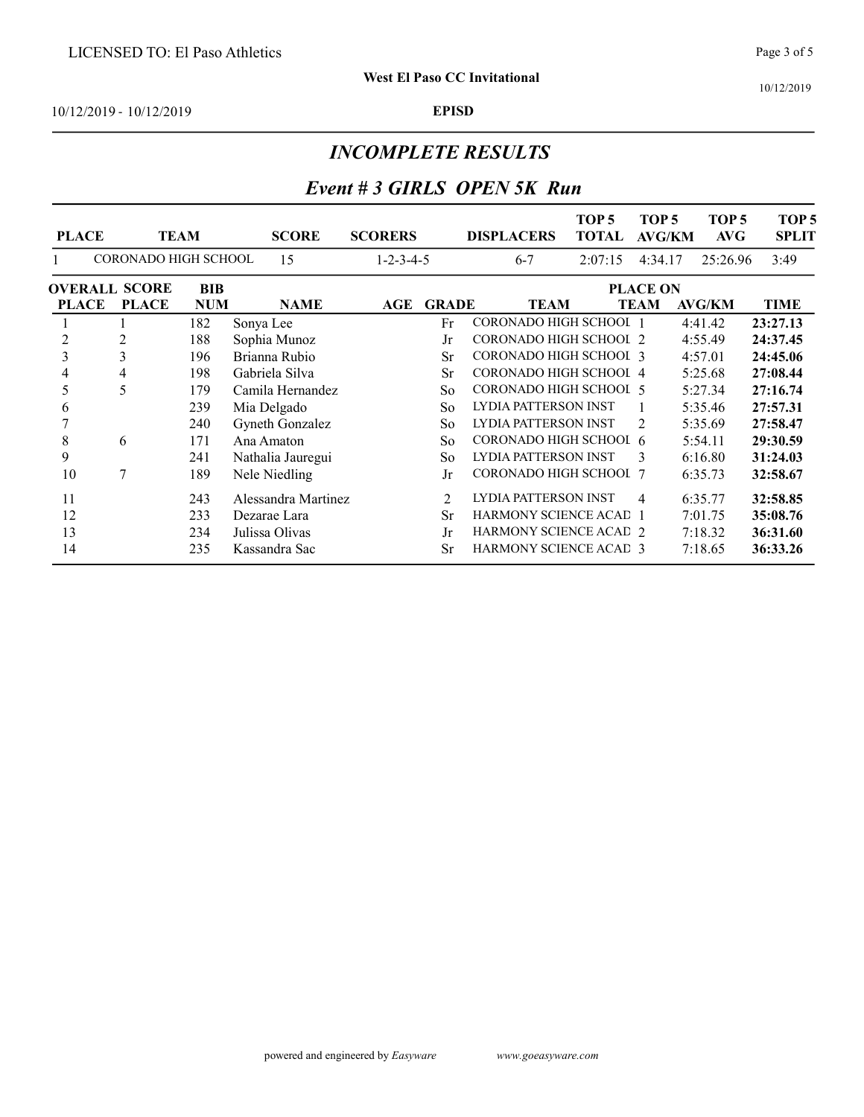#### INCOMPLETE RESULTS

## Event # 3 GIRLS OPEN 5K Run

| <b>PLACE</b> | <b>TEAM</b>                 |            | <b>SCORE</b>        | <b>SCORERS</b>      |                | <b>DISPLACERS</b>             | TOP <sub>5</sub><br><b>TOTAL</b> | TOP <sub>5</sub><br><b>AVG/KM</b> | TOP <sub>5</sub><br>AVG | TOP <sub>5</sub><br><b>SPLIT</b> |
|--------------|-----------------------------|------------|---------------------|---------------------|----------------|-------------------------------|----------------------------------|-----------------------------------|-------------------------|----------------------------------|
|              | <b>CORONADO HIGH SCHOOL</b> |            | 15                  | $1 - 2 - 3 - 4 - 5$ |                | $6 - 7$                       | 2:07:15                          | 4:34.17                           | 25:26.96                | 3:49                             |
|              | <b>OVERALL SCORE</b>        | BIB        |                     |                     |                |                               |                                  | <b>PLACE ON</b>                   |                         |                                  |
| <b>PLACE</b> | <b>PLACE</b>                | <b>NUM</b> | <b>NAME</b>         | AGE                 | <b>GRADE</b>   | <b>TEAM</b>                   |                                  | <b>TEAM</b>                       | <b>AVG/KM</b>           | TIME                             |
|              |                             | 182        | Sonya Lee           |                     | Fr             | <b>CORONADO HIGH SCHOOL 1</b> |                                  |                                   | 4:41.42                 | 23:27.13                         |
| 2            | 2                           | 188        | Sophia Munoz        |                     | Jr             | <b>CORONADO HIGH SCHOOL 2</b> |                                  |                                   | 4:55.49                 | 24:37.45                         |
| 3            | 3                           | 196        | Brianna Rubio       |                     | <b>Sr</b>      | CORONADO HIGH SCHOOL 3        |                                  |                                   | 4:57.01                 | 24:45.06                         |
| 4            | 4                           | 198        | Gabriela Silva      |                     | <b>Sr</b>      | <b>CORONADO HIGH SCHOOL 4</b> |                                  |                                   | 5:25.68                 | 27:08.44                         |
| 5            | 5                           | 179        | Camila Hernandez    |                     | So             | <b>CORONADO HIGH SCHOOL 5</b> |                                  |                                   | 5:27.34                 | 27:16.74                         |
| 6            |                             | 239        | Mia Delgado         |                     | So             | LYDIA PATTERSON INST          |                                  |                                   | 5:35.46                 | 27:57.31                         |
|              |                             | 240        | Gyneth Gonzalez     |                     | So             | LYDIA PATTERSON INST          |                                  | $\mathfrak{D}$                    | 5:35.69                 | 27:58.47                         |
| 8            | 6                           | 171        | Ana Amaton          |                     | So             | CORONADO HIGH SCHOOL 6        |                                  |                                   | 5:54.11                 | 29:30.59                         |
| 9            |                             | 241        | Nathalia Jauregui   |                     | So             | LYDIA PATTERSON INST          |                                  | 3                                 | 6:16.80                 | 31:24.03                         |
| 10           | 7                           | 189        | Nele Niedling       |                     | Jr             | <b>CORONADO HIGH SCHOOL 7</b> |                                  |                                   | 6:35.73                 | 32:58.67                         |
| 11           |                             | 243        | Alessandra Martinez |                     | $\overline{2}$ | LYDIA PATTERSON INST          |                                  | 4                                 | 6:35.77                 | 32:58.85                         |
| 12           |                             | 233        | Dezarae Lara        |                     | <b>Sr</b>      | <b>HARMONY SCIENCE ACAD 1</b> |                                  |                                   | 7:01.75                 | 35:08.76                         |
| 13           |                             | 234        | Julissa Olivas      |                     | Jr             | <b>HARMONY SCIENCE ACAD 2</b> |                                  |                                   | 7:18.32                 | 36:31.60                         |
| 14           |                             | 235        | Kassandra Sac       |                     | <b>Sr</b>      | <b>HARMONY SCIENCE ACAD 3</b> |                                  |                                   | 7:18.65                 | 36:33.26                         |

Page 3 of 5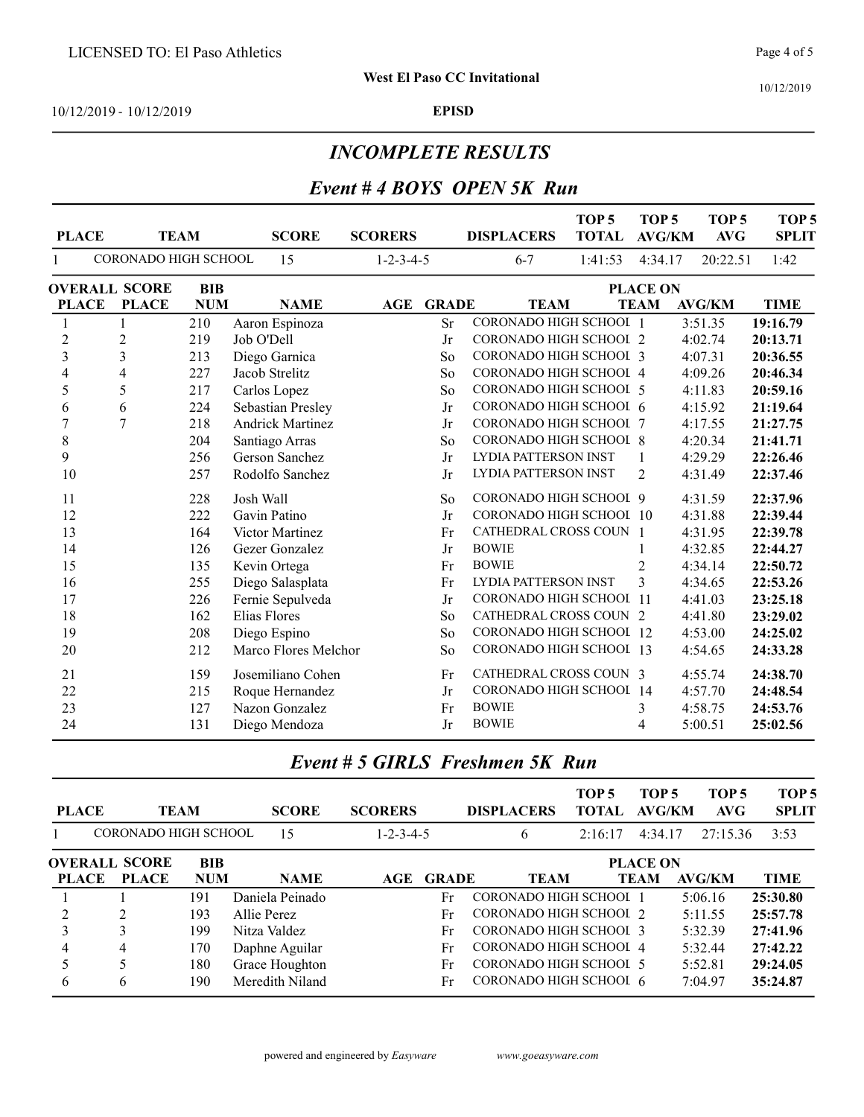#### INCOMPLETE RESULTS

#### Event # 4 BOYS OPEN 5K Run

| <b>PLACE</b>   | <b>TEAM</b>          |            | <b>SCORE</b>            | <b>SCORERS</b>      |              | <b>DISPLACERS</b>              | TOP <sub>5</sub><br><b>TOTAL</b> | TOP <sub>5</sub><br><b>AVG/KM</b> | TOP <sub>5</sub><br>AVG | TOP <sub>5</sub><br><b>SPLIT</b> |
|----------------|----------------------|------------|-------------------------|---------------------|--------------|--------------------------------|----------------------------------|-----------------------------------|-------------------------|----------------------------------|
| 1              | CORONADO HIGH SCHOOL |            | 15                      | $1 - 2 - 3 - 4 - 5$ |              | $6 - 7$                        | 1:41:53                          | 4:34.17                           | 20:22.51                | 1:42                             |
|                | <b>OVERALL SCORE</b> | <b>BIB</b> |                         |                     |              |                                |                                  | <b>PLACE ON</b>                   |                         |                                  |
| <b>PLACE</b>   | <b>PLACE</b>         | <b>NUM</b> | <b>NAME</b>             | AGE                 | <b>GRADE</b> | <b>TEAM</b>                    |                                  | <b>TEAM</b>                       | <b>AVG/KM</b>           | <b>TIME</b>                      |
| 1              |                      | 210        | Aaron Espinoza          |                     | <b>Sr</b>    | CORONADO HIGH SCHOOL 1         |                                  |                                   | 3:51.35                 | 19:16.79                         |
| 2              | $\overline{c}$       | 219        | Job O'Dell              |                     | Jr           | <b>CORONADO HIGH SCHOOL 2</b>  |                                  |                                   | 4:02.74                 | 20:13.71                         |
| 3              | 3                    | 213        | Diego Garnica           |                     | So           | CORONADO HIGH SCHOOL 3         |                                  |                                   | 4:07.31                 | 20:36.55                         |
| 4              | $\overline{4}$       | 227        | Jacob Strelitz          |                     | So           | CORONADO HIGH SCHOOI 4         |                                  |                                   | 4:09.26                 | 20:46.34                         |
| 5              | 5                    | 217        | Carlos Lopez            |                     | So           | <b>CORONADO HIGH SCHOOL 5</b>  |                                  |                                   | 4:11.83                 | 20:59.16                         |
| 6              | 6                    | 224        | Sebastian Presley       |                     | Jr           | CORONADO HIGH SCHOOL 6         |                                  |                                   | 4:15.92                 | 21:19.64                         |
| $\overline{7}$ | $\overline{7}$       | 218        | <b>Andrick Martinez</b> |                     | Jr           | CORONADO HIGH SCHOOL 7         |                                  |                                   | 4:17.55                 | 21:27.75                         |
| $\,$ $\,$      |                      | 204        | Santiago Arras          |                     | So           | CORONADO HIGH SCHOOL 8         |                                  |                                   | 4:20.34                 | 21:41.71                         |
| 9              |                      | 256        | Gerson Sanchez          |                     | Jr           | LYDIA PATTERSON INST           |                                  | 1                                 | 4:29.29                 | 22:26.46                         |
| 10             |                      | 257        | Rodolfo Sanchez         |                     | Jr           | <b>LYDIA PATTERSON INST</b>    |                                  | $\overline{2}$                    | 4:31.49                 | 22:37.46                         |
| 11             |                      | 228        | Josh Wall               |                     | So           | <b>CORONADO HIGH SCHOOL 9</b>  |                                  |                                   | 4:31.59                 | 22:37.96                         |
| 12             |                      | 222        | Gavin Patino            |                     | Jr           | CORONADO HIGH SCHOOL 10        |                                  |                                   | 4:31.88                 | 22:39.44                         |
| 13             |                      | 164        | Victor Martinez         |                     | Fr           | <b>CATHEDRAL CROSS COUN 1</b>  |                                  |                                   | 4:31.95                 | 22:39.78                         |
| 14             |                      | 126        | Gezer Gonzalez          |                     | Jr           | <b>BOWIE</b>                   |                                  |                                   | 4:32.85                 | 22:44.27                         |
| 15             |                      | 135        | Kevin Ortega            |                     | Fr           | <b>BOWIE</b>                   |                                  | 2                                 | 4:34.14                 | 22:50.72                         |
| 16             |                      | 255        | Diego Salasplata        |                     | Fr           | LYDIA PATTERSON INST           |                                  | 3                                 | 4:34.65                 | 22:53.26                         |
| 17             |                      | 226        | Fernie Sepulveda        |                     | Jr           | <b>CORONADO HIGH SCHOOL 11</b> |                                  |                                   | 4:41.03                 | 23:25.18                         |
| 18             |                      | 162        | Elias Flores            |                     | So           | <b>CATHEDRAL CROSS COUN 2</b>  |                                  |                                   | 4:41.80                 | 23:29.02                         |
| 19             |                      | 208        | Diego Espino            |                     | So           | CORONADO HIGH SCHOOL 12        |                                  |                                   | 4:53.00                 | 24:25.02                         |
| 20             |                      | 212        | Marco Flores Melchor    |                     | So           | CORONADO HIGH SCHOOL 13        |                                  |                                   | 4:54.65                 | 24:33.28                         |
| 21             |                      | 159        | Josemiliano Cohen       |                     | Fr           | <b>CATHEDRAL CROSS COUN 3</b>  |                                  |                                   | 4:55.74                 | 24:38.70                         |
| 22             |                      | 215        | Roque Hernandez         |                     | Jr           | CORONADO HIGH SCHOOL 14        |                                  |                                   | 4:57.70                 | 24:48.54                         |
| 23             |                      | 127        | Nazon Gonzalez          |                     | Fr           | <b>BOWIE</b>                   |                                  | 3                                 | 4:58.75                 | 24:53.76                         |
| 24             |                      | 131        | Diego Mendoza           |                     | Jr           | <b>BOWIE</b>                   |                                  | $\overline{4}$                    | 5:00.51                 | 25:02.56                         |

| <b>PLACE</b> |                             | <b>TEAM</b> | <b>SCORE</b>    | <b>SCORERS</b>      |                  | <b>DISPLACERS</b>             | TOP <sub>5</sub><br><b>TOTAL</b> | TOP 5<br><b>AVG/KM</b> | TOP <sub>5</sub><br>AVG | TOP <sub>5</sub><br><b>SPLIT</b> |
|--------------|-----------------------------|-------------|-----------------|---------------------|------------------|-------------------------------|----------------------------------|------------------------|-------------------------|----------------------------------|
|              | <b>CORONADO HIGH SCHOOL</b> |             | 15              | $1 - 2 - 3 - 4 - 5$ |                  | 6                             | 2:16:17                          | 4:34.17                | 27:15.36                | 3:53                             |
|              | <b>OVERALL SCORE</b>        | <b>BIB</b>  |                 |                     |                  |                               |                                  | <b>PLACE ON</b>        |                         |                                  |
| <b>PLACE</b> | <b>PLACE</b>                | <b>NUM</b>  | <b>NAME</b>     |                     | <b>AGE GRADE</b> | <b>TEAM</b>                   |                                  | <b>TEAM</b>            | AVG/KM                  | <b>TIME</b>                      |
|              |                             | 191         | Daniela Peinado |                     | Fr               | <b>CORONADO HIGH SCHOOL 1</b> |                                  |                        | 5:06.16                 | 25:30.80                         |
|              | ↑                           | 193         | Allie Perez     |                     | Fr               | CORONADO HIGH SCHOOL 2        |                                  |                        | 5:11.55                 | 25:57.78                         |
|              |                             | 199         | Nitza Valdez    |                     | Fr               | CORONADO HIGH SCHOOL 3        |                                  |                        | 5:32.39                 | 27:41.96                         |
| 4            | 4                           | 170         | Daphne Aguilar  |                     | Fr               | CORONADO HIGH SCHOOL 4        |                                  |                        | 5:32.44                 | 27:42.22                         |
|              |                             | 180         | Grace Houghton  |                     | Fr               | CORONADO HIGH SCHOOL 5        |                                  |                        | 5:52.81                 | 29:24.05                         |
| 6            | 6                           | 190         | Meredith Niland |                     | Fr               | CORONADO HIGH SCHOOL 6        |                                  |                        | 7:04.97                 | 35:24.87                         |

# Event # 5 GIRLS Freshmen 5K Run

10/12/2019

Page 4 of 5